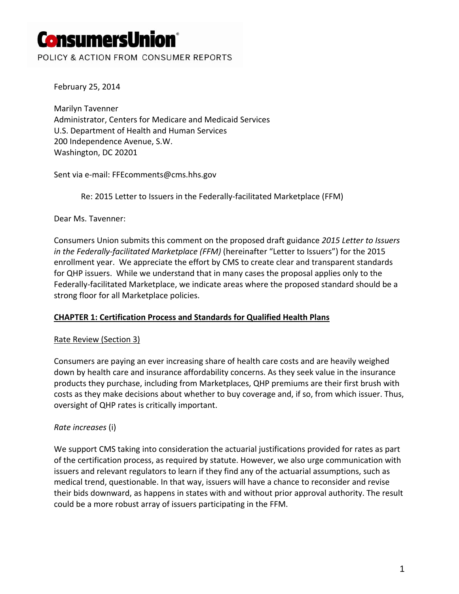POLICY & ACTION FROM CONSUMER REPORTS

February 25, 2014

Marilyn Tavenner Administrator, Centers for Medicare and Medicaid Services U.S. Department of Health and Human Services 200 Independence Avenue, S.W. Washington, DC 20201

Sent via e‐mail: FFEcomments@cms.hhs.gov

Re: 2015 Letter to Issuers in the Federally-facilitated Marketplace (FFM)

Dear Ms. Tavenner:

Consumers Union submits this comment on the proposed draft guidance *2015 Letter to Issuers in the Federally‐facilitated Marketplace (FFM)* (hereinafter "Letter to Issuers") for the 2015 enrollment year. We appreciate the effort by CMS to create clear and transparent standards for QHP issuers. While we understand that in many cases the proposal applies only to the Federally-facilitated Marketplace, we indicate areas where the proposed standard should be a strong floor for all Marketplace policies.

#### **CHAPTER 1: Certification Process and Standards for Qualified Health Plans**

#### Rate Review (Section 3)

Consumers are paying an ever increasing share of health care costs and are heavily weighed down by health care and insurance affordability concerns. As they seek value in the insurance products they purchase, including from Marketplaces, QHP premiums are their first brush with costs as they make decisions about whether to buy coverage and, if so, from which issuer. Thus, oversight of QHP rates is critically important.

#### *Rate increases* (i)

We support CMS taking into consideration the actuarial justifications provided for rates as part of the certification process, as required by statute. However, we also urge communication with issuers and relevant regulators to learn if they find any of the actuarial assumptions, such as medical trend, questionable. In that way, issuers will have a chance to reconsider and revise their bids downward, as happens in states with and without prior approval authority. The result could be a more robust array of issuers participating in the FFM.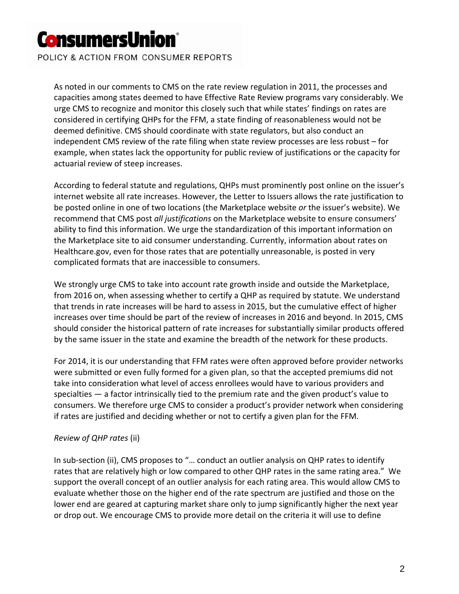POLICY & ACTION FROM CONSUMER REPORTS

As noted in our comments to CMS on the rate review regulation in 2011, the processes and capacities among states deemed to have Effective Rate Review programs vary considerably. We urge CMS to recognize and monitor this closely such that while states' findings on rates are considered in certifying QHPs for the FFM, a state finding of reasonableness would not be deemed definitive. CMS should coordinate with state regulators, but also conduct an independent CMS review of the rate filing when state review processes are less robust – for example, when states lack the opportunity for public review of justifications or the capacity for actuarial review of steep increases.

According to federal statute and regulations, QHPs must prominently post online on the issuer's internet website all rate increases. However, the Letter to Issuers allows the rate justification to be posted online in one of two locations (the Marketplace website *or* the issuer's website). We recommend that CMS post *all justifications* on the Marketplace website to ensure consumers' ability to find this information. We urge the standardization of this important information on the Marketplace site to aid consumer understanding. Currently, information about rates on Healthcare.gov, even for those rates that are potentially unreasonable, is posted in very complicated formats that are inaccessible to consumers.

We strongly urge CMS to take into account rate growth inside and outside the Marketplace, from 2016 on, when assessing whether to certify a QHP as required by statute. We understand that trends in rate increases will be hard to assess in 2015, but the cumulative effect of higher increases over time should be part of the review of increases in 2016 and beyond. In 2015, CMS should consider the historical pattern of rate increases for substantially similar products offered by the same issuer in the state and examine the breadth of the network for these products.

For 2014, it is our understanding that FFM rates were often approved before provider networks were submitted or even fully formed for a given plan, so that the accepted premiums did not take into consideration what level of access enrollees would have to various providers and specialties — a factor intrinsically tied to the premium rate and the given product's value to consumers. We therefore urge CMS to consider a product's provider network when considering if rates are justified and deciding whether or not to certify a given plan for the FFM.

#### *Review of QHP rates* (ii)

In sub-section (ii), CMS proposes to "... conduct an outlier analysis on QHP rates to identify rates that are relatively high or low compared to other QHP rates in the same rating area." We support the overall concept of an outlier analysis for each rating area. This would allow CMS to evaluate whether those on the higher end of the rate spectrum are justified and those on the lower end are geared at capturing market share only to jump significantly higher the next year or drop out. We encourage CMS to provide more detail on the criteria it will use to define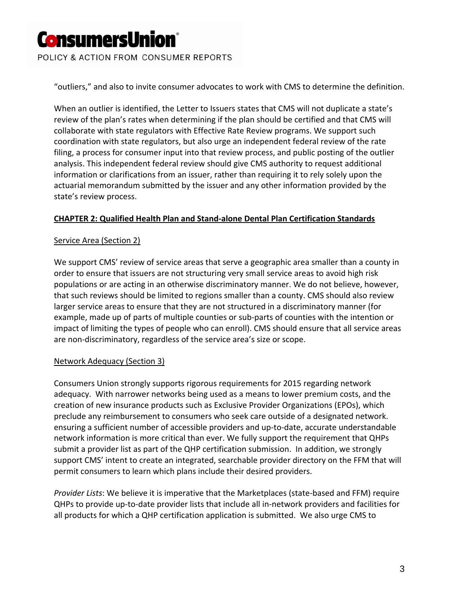POLICY & ACTION FROM CONSUMER REPORTS

"outliers," and also to invite consumer advocates to work with CMS to determine the definition.

When an outlier is identified, the Letter to Issuers states that CMS will not duplicate a state's review of the plan's rates when determining if the plan should be certified and that CMS will collaborate with state regulators with Effective Rate Review programs. We support such coordination with state regulators, but also urge an independent federal review of the rate filing, a process for consumer input into that review process, and public posting of the outlier analysis. This independent federal review should give CMS authority to request additional information or clarifications from an issuer, rather than requiring it to rely solely upon the actuarial memorandum submitted by the issuer and any other information provided by the state's review process.

#### **CHAPTER 2: Qualified Health Plan and Stand‐alone Dental Plan Certification Standards**

#### Service Area (Section 2)

We support CMS' review of service areas that serve a geographic area smaller than a county in order to ensure that issuers are not structuring very small service areas to avoid high risk populations or are acting in an otherwise discriminatory manner. We do not believe, however, that such reviews should be limited to regions smaller than a county. CMS should also review larger service areas to ensure that they are not structured in a discriminatory manner (for example, made up of parts of multiple counties or sub‐parts of counties with the intention or impact of limiting the types of people who can enroll). CMS should ensure that all service areas are non-discriminatory, regardless of the service area's size or scope.

#### Network Adequacy (Section 3)

Consumers Union strongly supports rigorous requirements for 2015 regarding network adequacy. With narrower networks being used as a means to lower premium costs, and the creation of new insurance products such as Exclusive Provider Organizations (EPOs), which preclude any reimbursement to consumers who seek care outside of a designated network. ensuring a sufficient number of accessible providers and up‐to‐date, accurate understandable network information is more critical than ever. We fully support the requirement that QHPs submit a provider list as part of the QHP certification submission. In addition, we strongly support CMS' intent to create an integrated, searchable provider directory on the FFM that will permit consumers to learn which plans include their desired providers.

*Provider Lists*: We believe it is imperative that the Marketplaces (state‐based and FFM) require QHPs to provide up‐to‐date provider lists that include all in‐network providers and facilities for all products for which a QHP certification application is submitted. We also urge CMS to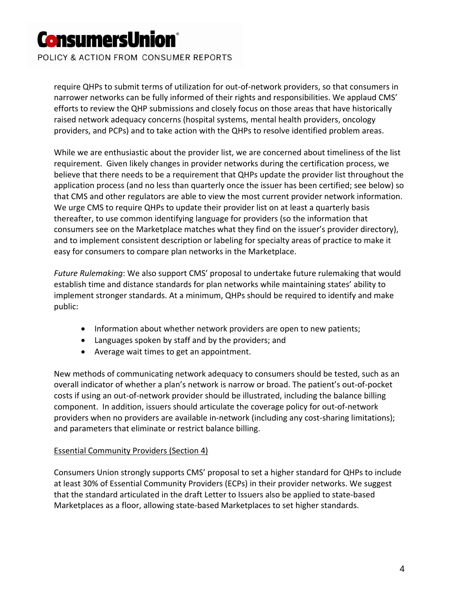POLICY & ACTION FROM CONSUMER REPORTS

require QHPs to submit terms of utilization for out‐of‐network providers, so that consumers in narrower networks can be fully informed of their rights and responsibilities. We applaud CMS' efforts to review the QHP submissions and closely focus on those areas that have historically raised network adequacy concerns (hospital systems, mental health providers, oncology providers, and PCPs) and to take action with the QHPs to resolve identified problem areas.

While we are enthusiastic about the provider list, we are concerned about timeliness of the list requirement. Given likely changes in provider networks during the certification process, we believe that there needs to be a requirement that QHPs update the provider list throughout the application process (and no less than quarterly once the issuer has been certified; see below) so that CMS and other regulators are able to view the most current provider network information. We urge CMS to require QHPs to update their provider list on at least a quarterly basis thereafter, to use common identifying language for providers (so the information that consumers see on the Marketplace matches what they find on the issuer's provider directory), and to implement consistent description or labeling for specialty areas of practice to make it easy for consumers to compare plan networks in the Marketplace.

*Future Rulemaking*: We also support CMS' proposal to undertake future rulemaking that would establish time and distance standards for plan networks while maintaining states' ability to implement stronger standards. At a minimum, QHPs should be required to identify and make public:

- Information about whether network providers are open to new patients;
- Languages spoken by staff and by the providers; and
- Average wait times to get an appointment.

New methods of communicating network adequacy to consumers should be tested, such as an overall indicator of whether a plan's network is narrow or broad. The patient's out‐of‐pocket costs if using an out‐of‐network provider should be illustrated, including the balance billing component. In addition, issuers should articulate the coverage policy for out‐of‐network providers when no providers are available in-network (including any cost-sharing limitations); and parameters that eliminate or restrict balance billing.

#### Essential Community Providers (Section 4)

Consumers Union strongly supports CMS' proposal to set a higher standard for QHPs to include at least 30% of Essential Community Providers (ECPs) in their provider networks. We suggest that the standard articulated in the draft Letter to Issuers also be applied to state‐based Marketplaces as a floor, allowing state‐based Marketplaces to set higher standards.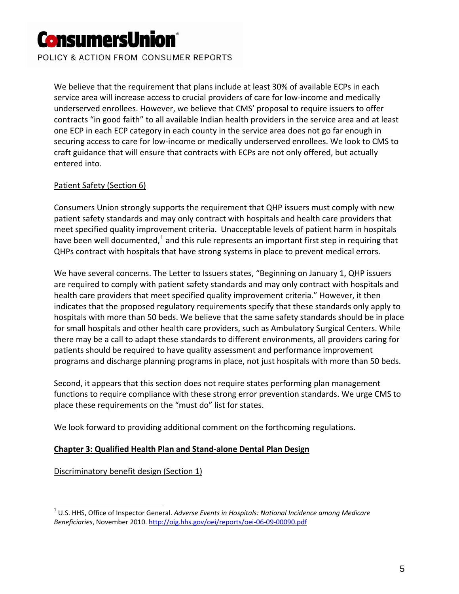POLICY & ACTION FROM CONSUMER REPORTS

We believe that the requirement that plans include at least 30% of available ECPs in each service area will increase access to crucial providers of care for low-income and medically underserved enrollees. However, we believe that CMS' proposal to require issuers to offer contracts "in good faith" to all available Indian health providers in the service area and at least one ECP in each ECP category in each county in the service area does not go far enough in securing access to care for low‐income or medically underserved enrollees. We look to CMS to craft guidance that will ensure that contracts with ECPs are not only offered, but actually entered into.

#### Patient Safety (Section 6)

Consumers Union strongly supports the requirement that QHP issuers must comply with new patient safety standards and may only contract with hospitals and health care providers that meet specified quality improvement criteria. Unacceptable levels of patient harm in hospitals have been well [documented,](http://oig.hhs.gov/oei/reports/oei-06-09-00090.pdf) $<sup>1</sup>$  and this rule represents an important first step in requiring that</sup> QHPs contract with hospitals that have strong systems in place to prevent medical errors.

We have several concerns. The Letter to Issuers states, "Beginning on January 1, QHP issuers are required to comply with patient safety standards and may only contract with hospitals and health care providers that meet specified quality improvement criteria." However, it then indicates that the proposed regulatory requirements specify that these standards only apply to hospitals with more than 50 beds. We believe that the same safety standards should be in place for small hospitals and other health care providers, such as Ambulatory Surgical Centers. While there may be a call to adapt these standards to different environments, all providers caring for patients should be required to have quality assessment and performance improvement programs and discharge planning programs in place, not just hospitals with more than 50 beds.

Second, it appears that this section does not require states performing plan management functions to require compliance with these strong error prevention standards. We urge CMS to place these requirements on the "must do" list for states.

We look forward to providing additional comment on the forthcoming regulations.

#### **Chapter 3: Qualified Health Plan and Stand‐alone Dental Plan Design**

Discriminatory benefit design (Section 1)

 $\overline{a}$ 

<sup>1</sup> U.S. HHS, Office of Inspector General. *Adverse Events in Hospitals: National Incidence among Medicare Beneficiaries*, November 2010. [http://oig.hhs.gov/oei/reports/oei](http://oig.hhs.gov/oei/reports/oei-06-09-00090.pdf)‐06‐09‐00090.pdf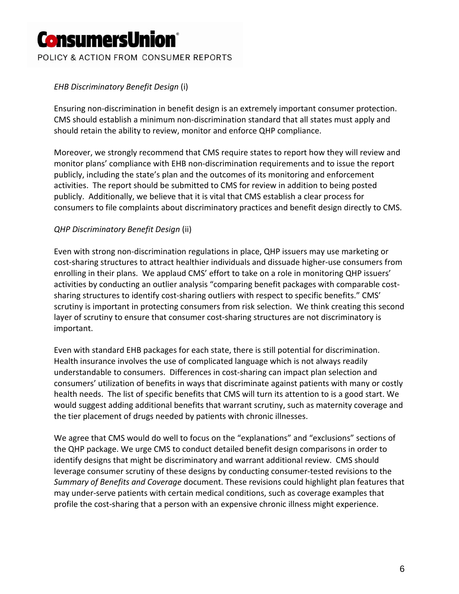POLICY & ACTION FROM CONSUMER REPORTS

### *EHB Discriminatory Benefit Design* (i)

Ensuring non‐discrimination in benefit design is an extremely important consumer protection. CMS should establish a minimum non‐discrimination standard that all states must apply and should retain the ability to review, monitor and enforce QHP compliance.

Moreover, we strongly recommend that CMS require states to report how they will review and monitor plans' compliance with EHB non-discrimination requirements and to issue the report publicly, including the state's plan and the outcomes of its monitoring and enforcement activities. The report should be submitted to CMS for review in addition to being posted publicly. Additionally, we believe that it is vital that CMS establish a clear process for consumers to file complaints about discriminatory practices and benefit design directly to CMS.

#### *QHP Discriminatory Benefit Design* (ii)

Even with strong non‐discrimination regulations in place, QHP issuers may use marketing or cost‐sharing structures to attract healthier individuals and dissuade higher‐use consumers from enrolling in their plans. We applaud CMS' effort to take on a role in monitoring QHP issuers' activities by conducting an outlier analysis "comparing benefit packages with comparable costsharing structures to identify cost‐sharing outliers with respect to specific benefits." CMS' scrutiny is important in protecting consumers from risk selection. We think creating this second layer of scrutiny to ensure that consumer cost-sharing structures are not discriminatory is important.

Even with standard EHB packages for each state, there is still potential for discrimination. Health insurance involves the use of complicated language which is not always readily understandable to consumers. Differences in cost‐sharing can impact plan selection and consumers' utilization of benefits in ways that discriminate against patients with many or costly health needs. The list of specific benefits that CMS will turn its attention to is a good start. We would suggest adding additional benefits that warrant scrutiny, such as maternity coverage and the tier placement of drugs needed by patients with chronic illnesses.

We agree that CMS would do well to focus on the "explanations" and "exclusions" sections of the QHP package. We urge CMS to conduct detailed benefit design comparisons in order to identify designs that might be discriminatory and warrant additional review. CMS should leverage consumer scrutiny of these designs by conducting consumer‐tested revisions to the *Summary of Benefits and Coverage* document. These revisions could highlight plan features that may under‐serve patients with certain medical conditions, such as coverage examples that profile the cost-sharing that a person with an expensive chronic illness might experience.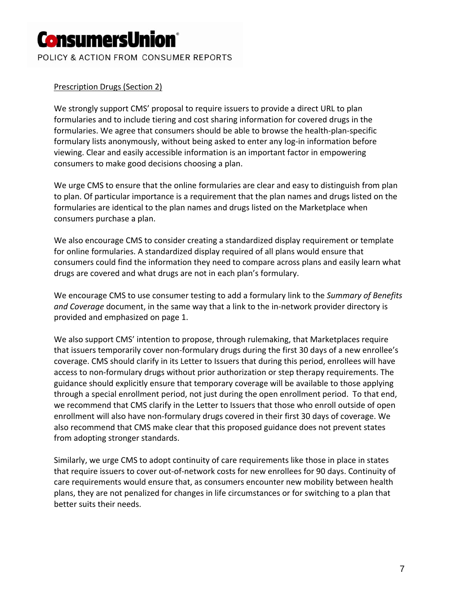POLICY & ACTION FROM CONSUMER REPORTS

#### Prescription Drugs (Section 2)

We strongly support CMS' proposal to require issuers to provide a direct URL to plan formularies and to include tiering and cost sharing information for covered drugs in the formularies. We agree that consumers should be able to browse the health‐plan‐specific formulary lists anonymously, without being asked to enter any log-in information before viewing. Clear and easily accessible information is an important factor in empowering consumers to make good decisions choosing a plan.

We urge CMS to ensure that the online formularies are clear and easy to distinguish from plan to plan. Of particular importance is a requirement that the plan names and drugs listed on the formularies are identical to the plan names and drugs listed on the Marketplace when consumers purchase a plan.

We also encourage CMS to consider creating a standardized display requirement or template for online formularies. A standardized display required of all plans would ensure that consumers could find the information they need to compare across plans and easily learn what drugs are covered and what drugs are not in each plan's formulary.

We encourage CMS to use consumer testing to add a formulary link to the *Summary of Benefits and Coverage* document, in the same way that a link to the in‐network provider directory is provided and emphasized on page 1.

We also support CMS' intention to propose, through rulemaking, that Marketplaces require that issuers temporarily cover non‐formulary drugs during the first 30 days of a new enrollee's coverage. CMS should clarify in its Letter to Issuers that during this period, enrollees will have access to non‐formulary drugs without prior authorization or step therapy requirements. The guidance should explicitly ensure that temporary coverage will be available to those applying through a special enrollment period, not just during the open enrollment period. To that end, we recommend that CMS clarify in the Letter to Issuers that those who enroll outside of open enrollment will also have non‐formulary drugs covered in their first 30 days of coverage. We also recommend that CMS make clear that this proposed guidance does not prevent states from adopting stronger standards.

Similarly, we urge CMS to adopt continuity of care requirements like those in place in states that require issuers to cover out‐of‐network costs for new enrollees for 90 days. Continuity of care requirements would ensure that, as consumers encounter new mobility between health plans, they are not penalized for changes in life circumstances or for switching to a plan that better suits their needs.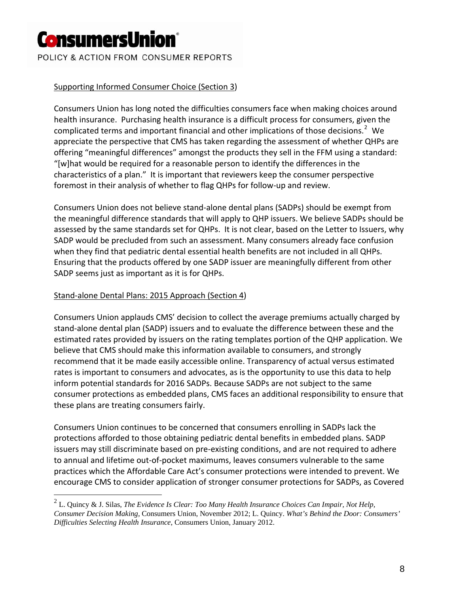POLICY & ACTION FROM CONSUMER REPORTS

### Supporting Informed Consumer Choice (Section 3)

Consumers Union has long noted the difficulties consumers face when making choices around health insurance. Purchasing health insurance is a difficult process for consumers, given the complicated terms and important financial and other implications of those decisions.<sup>[2](#page-7-0)</sup> We appreciate the perspective that CMS has taken regarding the assessment of whether QHPs are offering "meaningful differences" amongst the products they sell in the FFM using a standard: "[w]hat would be required for a reasonable person to identify the differences in the characteristics of a plan." It is important that reviewers keep the consumer perspective foremost in their analysis of whether to flag QHPs for follow‐up and review.

Consumers Union does not believe stand‐alone dental plans (SADPs) should be exempt from the meaningful difference standards that will apply to QHP issuers. We believe SADPs should be assessed by the same standards set for QHPs. It is not clear, based on the Letter to Issuers, why SADP would be precluded from such an assessment. Many consumers already face confusion when they find that pediatric dental essential health benefits are not included in all QHPs. Ensuring that the products offered by one SADP issuer are meaningfully different from other SADP seems just as important as it is for QHPs.

### Stand‐alone Dental Plans: 2015 Approach (Section 4)

 $\overline{a}$ 

Consumers Union applauds CMS' decision to collect the average premiums actually charged by stand‐alone dental plan (SADP) issuers and to evaluate the difference between these and the estimated rates provided by issuers on the rating templates portion of the QHP application. We believe that CMS should make this information available to consumers, and strongly recommend that it be made easily accessible online. Transparency of actual versus estimated rates is important to consumers and advocates, as is the opportunity to use this data to help inform potential standards for 2016 SADPs. Because SADPs are not subject to the same consumer protections as embedded plans, CMS faces an additional responsibility to ensure that these plans are treating consumers fairly.

Consumers Union continues to be concerned that consumers enrolling in SADPs lack the protections afforded to those obtaining pediatric dental benefits in embedded plans. SADP issuers may still discriminate based on pre‐existing conditions, and are not required to adhere to annual and lifetime out‐of‐pocket maximums, leaves consumers vulnerable to the same practices which the Affordable Care Act's consumer protections were intended to prevent. We encourage CMS to consider application of stronger consumer protections for SADPs, as Covered

<span id="page-7-0"></span><sup>2</sup> L. Quincy & J. Silas, *The Evidence Is Clear: Too Many Health Insurance Choices Can Impair, Not Help, Consumer Decision Making,* Consumers Union, November 2012; L. Quincy. *What's Behind the Door: Consumers' Difficulties Selecting Health Insurance*, Consumers Union, January 2012.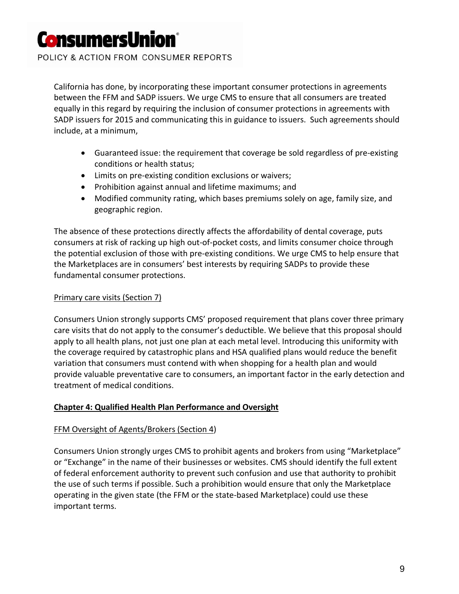POLICY & ACTION FROM CONSUMER REPORTS

California has done, by incorporating these important consumer protections in agreements between the FFM and SADP issuers. We urge CMS to ensure that all consumers are treated equally in this regard by requiring the inclusion of consumer protections in agreements with SADP issuers for 2015 and communicating this in guidance to issuers. Such agreements should include, at a minimum,

- Guaranteed issue: the requirement that coverage be sold regardless of pre‐existing conditions or health status;
- Limits on pre‐existing condition exclusions or waivers;
- Prohibition against annual and lifetime maximums; and
- Modified community rating, which bases premiums solely on age, family size, and geographic region.

The absence of these protections directly affects the affordability of dental coverage, puts consumers at risk of racking up high out‐of‐pocket costs, and limits consumer choice through the potential exclusion of those with pre‐existing conditions. We urge CMS to help ensure that the Marketplaces are in consumers' best interests by requiring SADPs to provide these fundamental consumer protections.

#### Primary care visits (Section 7)

Consumers Union strongly supports CMS' proposed requirement that plans cover three primary care visits that do not apply to the consumer's deductible. We believe that this proposal should apply to all health plans, not just one plan at each metal level. Introducing this uniformity with the coverage required by catastrophic plans and HSA qualified plans would reduce the benefit variation that consumers must contend with when shopping for a health plan and would provide valuable preventative care to consumers, an important factor in the early detection and treatment of medical conditions.

#### **Chapter 4: Qualified Health Plan Performance and Oversight**

#### FFM Oversight of Agents/Brokers (Section 4)

Consumers Union strongly urges CMS to prohibit agents and brokers from using "Marketplace" or "Exchange" in the name of their businesses or websites. CMS should identify the full extent of federal enforcement authority to prevent such confusion and use that authority to prohibit the use of such terms if possible. Such a prohibition would ensure that only the Marketplace operating in the given state (the FFM or the state‐based Marketplace) could use these important terms.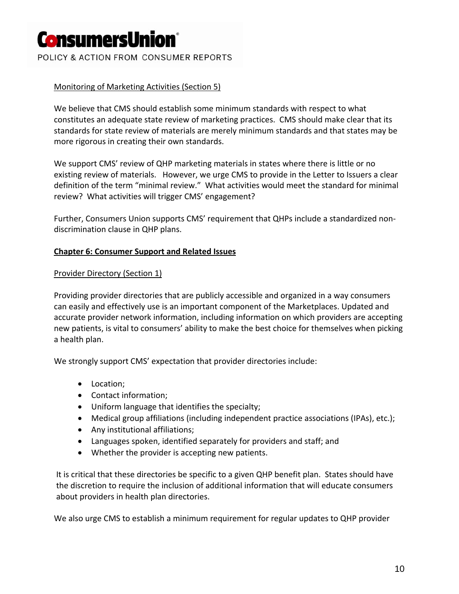POLICY & ACTION FROM CONSUMER REPORTS

#### Monitoring of Marketing Activities (Section 5)

We believe that CMS should establish some minimum standards with respect to what constitutes an adequate state review of marketing practices. CMS should make clear that its standards for state review of materials are merely minimum standards and that states may be more rigorous in creating their own standards.

We support CMS' review of QHP marketing materials in states where there is little or no existing review of materials. However, we urge CMS to provide in the Letter to Issuers a clear definition of the term "minimal review." What activities would meet the standard for minimal review? What activities will trigger CMS' engagement?

Further, Consumers Union supports CMS' requirement that QHPs include a standardized non‐ discrimination clause in QHP plans.

#### **Chapter 6: Consumer Support and Related Issues**

#### Provider Directory (Section 1)

Providing provider directories that are publicly accessible and organized in a way consumers can easily and effectively use is an important component of the Marketplaces. Updated and accurate provider network information, including information on which providers are accepting new patients, is vital to consumers' ability to make the best choice for themselves when picking a health plan.

We strongly support CMS' expectation that provider directories include:

- Location;
- Contact information;
- Uniform language that identifies the specialty;
- Medical group affiliations (including independent practice associations (IPAs), etc.);
- Any institutional affiliations;
- Languages spoken, identified separately for providers and staff; and
- Whether the provider is accepting new patients.

It is critical that these directories be specific to a given QHP benefit plan. States should have the discretion to require the inclusion of additional information that will educate consumers about providers in health plan directories.

We also urge CMS to establish a minimum requirement for regular updates to QHP provider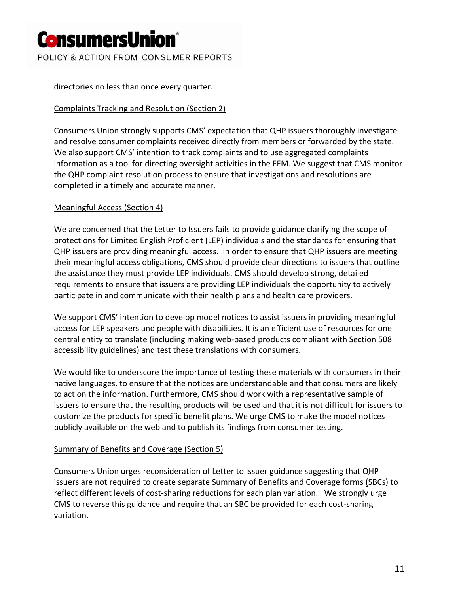POLICY & ACTION FROM CONSUMER REPORTS

directories no less than once every quarter.

### Complaints Tracking and Resolution (Section 2)

Consumers Union strongly supports CMS' expectation that QHP issuers thoroughly investigate and resolve consumer complaints received directly from members or forwarded by the state. We also support CMS' intention to track complaints and to use aggregated complaints information as a tool for directing oversight activities in the FFM. We suggest that CMS monitor the QHP complaint resolution process to ensure that investigations and resolutions are completed in a timely and accurate manner.

#### Meaningful Access (Section 4)

We are concerned that the Letter to Issuers fails to provide guidance clarifying the scope of protections for Limited English Proficient (LEP) individuals and the standards for ensuring that QHP issuers are providing meaningful access. In order to ensure that QHP issuers are meeting their meaningful access obligations, CMS should provide clear directions to issuers that outline the assistance they must provide LEP individuals. CMS should develop strong, detailed requirements to ensure that issuers are providing LEP individuals the opportunity to actively participate in and communicate with their health plans and health care providers.

We support CMS' intention to develop model notices to assist issuers in providing meaningful access for LEP speakers and people with disabilities. It is an efficient use of resources for one central entity to translate (including making web‐based products compliant with Section 508 accessibility guidelines) and test these translations with consumers.

We would like to underscore the importance of testing these materials with consumers in their native languages, to ensure that the notices are understandable and that consumers are likely to act on the information. Furthermore, CMS should work with a representative sample of issuers to ensure that the resulting products will be used and that it is not difficult for issuers to customize the products for specific benefit plans. We urge CMS to make the model notices publicly available on the web and to publish its findings from consumer testing.

#### Summary of Benefits and Coverage (Section 5)

Consumers Union urges reconsideration of Letter to Issuer guidance suggesting that QHP issuers are not required to create separate Summary of Benefits and Coverage forms (SBCs) to reflect different levels of cost-sharing reductions for each plan variation. We strongly urge CMS to reverse this guidance and require that an SBC be provided for each cost‐sharing variation.